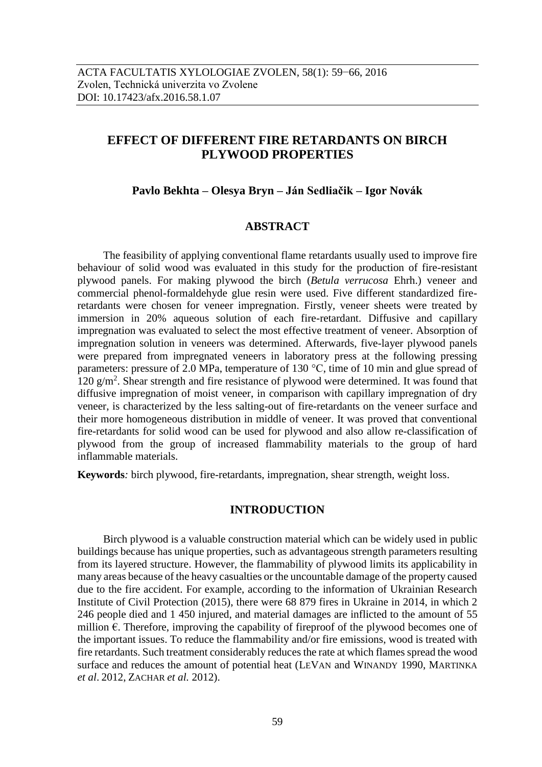# **EFFECT OF DIFFERENT FIRE RETARDANTS ON BIRCH PLYWOOD PROPERTIES**

# **Pavlo Bekhta – Olesya Bryn – Ján Sedliačik – Igor Novák**

# **ABSTRACT**

The feasibility of applying conventional flame retardants usually used to improve fire behaviour of solid wood was evaluated in this study for the production of fire-resistant plywood panels. For making plywood the birch (*Betula verrucosa* Ehrh.) veneer and commercial phenol-formaldehyde glue resin were used. Five different standardized fireretardants were chosen for veneer impregnation. Firstly, veneer sheets were treated by immersion in 20% aqueous solution of each fire-retardant. Diffusive and capillary impregnation was evaluated to select the most effective treatment of veneer. Absorption of impregnation solution in veneers was determined. Afterwards, five-layer plywood panels were prepared from impregnated veneers in laboratory press at the following pressing parameters: pressure of 2.0 MPa, temperature of 130 °C, time of 10 min and glue spread of 120 g/m<sup>2</sup> . Shear strength and fire resistance of plywood were determined. It was found that diffusive impregnation of moist veneer, in comparison with capillary impregnation of dry veneer, is characterized by the less salting-out of fire-retardants on the veneer surface and their more homogeneous distribution in middle of veneer. It was proved that conventional fire-retardants for solid wood can be used for plywood and also allow re-classification of plywood from the group of increased flammability materials to the group of hard inflammable materials.

**Keywords***:* birch plywood, fire-retardants, impregnation, shear strength, weight loss.

## **INTRODUCTION**

Birch plywood is a valuable construction material which can be widely used in public buildings because has unique properties, such as advantageous strength parameters resulting from its layered structure. However, the flammability of plywood limits its applicability in many areas because of the heavy casualties or the uncountable damage of the property caused due to the fire accident. For example, according to the information of Ukrainian Research Institute of Civil Protection (2015), there were 68 879 fires in Ukraine in 2014, in which 2 246 people died and 1 450 injured, and material damages are inflicted to the amount of 55 million €. Therefore, improving the capability of fireproof of the plywood becomes one of the important issues. To reduce the flammability and/or fire emissions, wood is treated with fire retardants. Such treatment considerably reduces the rate at which flames spread the wood surface and reduces the amount of potential heat (LEVAN and WINANDY 1990, MARTINKA *et al*. 2012, ZACHAR *et al.* 2012).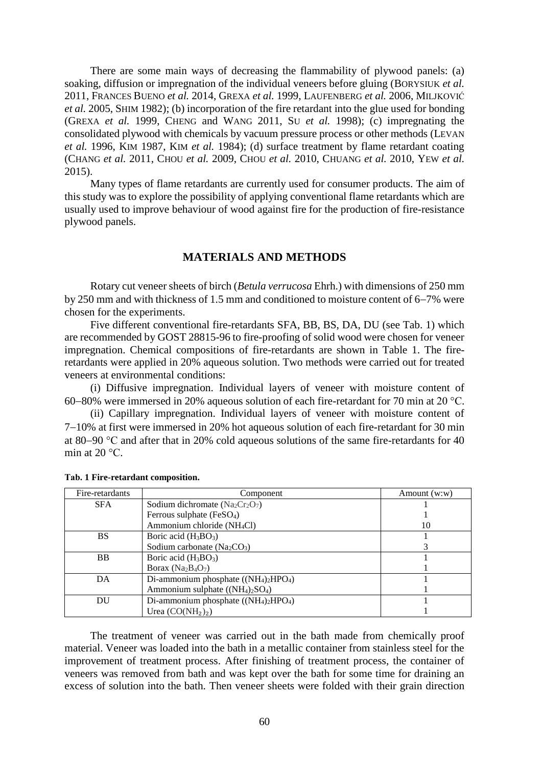There are some main ways of decreasing the flammability of plywood panels: (a) soaking, diffusion or impregnation of the individual veneers before gluing (BORYSIUK *et al.* 2011, FRANCES BUENO *et al.* 2014, GREXA *et al.* 1999, LAUFENBERG *et al.* 2006, MILJKOVIĆ *et al.* 2005, SHIM 1982); (b) incorporation of the fire retardant into the glue used for bonding (GREXA *et al.* 1999, CHENG and WANG 2011, SU *et al.* 1998); (c) impregnating the consolidated plywood with chemicals by vacuum pressure process or other methods (LEVAN *et al.* 1996, KIM 1987, KIM *et al.* 1984); (d) surface treatment by flame retardant coating (CHANG *et al.* 2011, CHOU *et al.* 2009, CHOU *et al.* 2010, CHUANG *et al.* 2010, YEW *et al.* 2015).

Many types of flame retardants are currently used for consumer products. The aim of this study was to explore the possibility of applying conventional flame retardants which are usually used to improve behaviour of wood against fire for the production of fire-resistance plywood panels.

### **MATERIALS AND METHODS**

Rotary cut veneer sheets of birch (*Betula verrucosa* Ehrh.) with dimensions of 250 mm by 250 mm and with thickness of 1.5 mm and conditioned to moisture content of  $6-7\%$  were chosen for the experiments.

Five different conventional fire-retardants SFA, BB, BS, DA, DU (see Tab. 1) which are recommended by GOST 28815-96 to fire-proofing of solid wood were chosen for veneer impregnation. Chemical compositions of fire-retardants are shown in Table 1. The fireretardants were applied in 20% aqueous solution. Two methods were carried out for treated veneers at environmental conditions:

(i) Diffusive impregnation. Individual layers of veneer with moisture content of 60–80% were immersed in 20% aqueous solution of each fire-retardant for 70 min at 20  $^{\circ}$ C.

(ii) Capillary impregnation. Individual layers of veneer with moisture content of 7–10% at first were immersed in 20% hot aqueous solution of each fire-retardant for 30 min at 80–90  $\degree$ C and after that in 20% cold aqueous solutions of the same fire-retardants for 40 min at  $20^{\circ}$ C.

| Fire-retardants | Component                               | Amount $(w:w)$ |
|-----------------|-----------------------------------------|----------------|
| <b>SFA</b>      | Sodium dichromate $(Na_2Cr_2O_7)$       |                |
|                 | Ferrous sulphate (FeSO <sub>4</sub> )   |                |
|                 | Ammonium chloride (NH <sub>4</sub> Cl)  | 10             |
| <b>BS</b>       | Boric acid $(H_3BO_3)$                  |                |
|                 | Sodium carbonate $(Na_2CO_3)$           |                |
| B <sub>B</sub>  | Boric acid $(H_3BO_3)$                  |                |
|                 | Borax ( $Na2B4O7$ )                     |                |
| DA              | Di-ammonium phosphate $((NH_4)_2HPO_4)$ |                |
|                 | Ammonium sulphate $((NH_4)_2SO_4)$      |                |
| DU              | Di-ammonium phosphate $((NH_4)_2HPO_4)$ |                |
|                 | Urea $(CO(NH_2)_2)$                     |                |

#### **Таb. 1 Fire-retardant composition.**

The treatment of veneer was carried out in the bath made from chemically proof material. Veneer was loaded into the bath in a metallic container from stainless steel for the improvement of treatment process. After finishing of treatment process, the container of veneers was removed from bath and was kept over the bath for some time for draining an excess of solution into the bath. Then veneer sheets were folded with their grain direction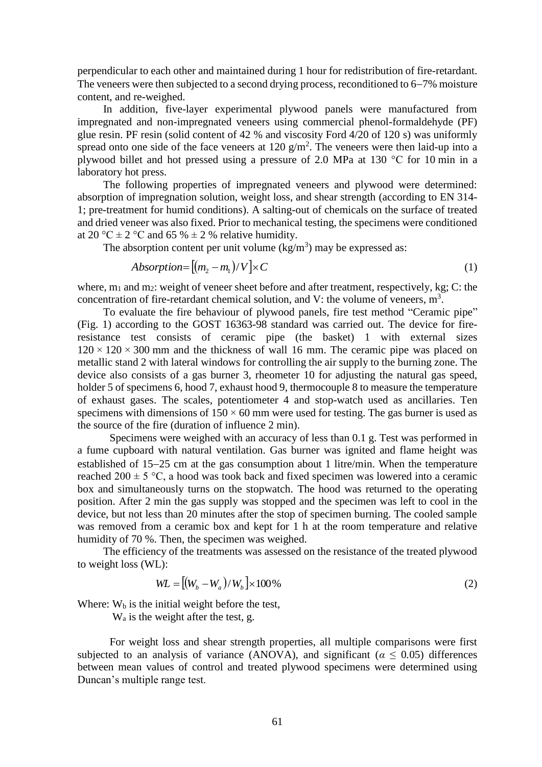perpendicular to each other and maintained during 1 hour for redistribution of fire-retardant. The veneers were then subjected to a second drying process, reconditioned to 6–7% moisture content, and re-weighed.

In addition, five-layer experimental plywood panels were manufactured from impregnated and non-impregnated veneers using commercial phenol-formaldehyde (PF) glue resin. PF resin (solid content of 42 % and viscosity Ford 4/20 of 120 s) was uniformly spread onto one side of the face veneers at  $120 \text{ g/m}^2$ . The veneers were then laid-up into a plywood billet and hot pressed using a pressure of 2.0 MPa at 130 °C for 10 min in a laboratory hot press.

The following properties of impregnated veneers and plywood were determined: absorption of impregnation solution, weight loss, and shear strength (according to EN 314- 1; pre-treatment for humid conditions). A salting-out of chemicals on the surface of treated and dried veneer was also fixed. Prior to mechanical testing, the specimens were conditioned at 20 °C  $\pm$  2 °C and 65 %  $\pm$  2 % relative humidity.

The absorption content per unit volume  $(kg/m<sup>3</sup>)$  may be expressed as:

$$
Absorption = [(m_2 - m_1)/V] \times C \tag{1}
$$

where,  $m_1$  and  $m_2$ : weight of veneer sheet before and after treatment, respectively, kg; C: the concentration of fire-retardant chemical solution, and V: the volume of veneers,  $m<sup>3</sup>$ .

To evaluate the fire behaviour of plywood panels, fire test method "Ceramic pipe" (Fig. 1) according to the GOST 16363-98 standard was carried out. The device for fireresistance test consists of ceramic pipe (the basket) 1 with external sizes  $120 \times 120 \times 300$  mm and the thickness of wall 16 mm. The ceramic pipe was placed on metallic stand 2 with lateral windows for controlling the air supply to the burning zone. The device also consists of a gas burner 3, rheometer 10 for adjusting the natural gas speed, holder 5 of specimens 6, hood 7, exhaust hood 9, thermocouple 8 to measure the temperature of exhaust gases. The scales, potentiometer 4 and stop-watch used as ancillaries. Ten specimens with dimensions of  $150 \times 60$  mm were used for testing. The gas burner is used as the source of the fire (duration of influence 2 min).

Specimens were weighed with an accuracy of less than 0.1 g. Test was performed in a fume cupboard with natural ventilation. Gas burner was ignited and flame height was established of  $15-25$  cm at the gas consumption about 1 litre/min. When the temperature reached 200  $\pm$  5 °C, a hood was took back and fixed specimen was lowered into a ceramic box and simultaneously turns on the stopwatch. The hood was returned to the operating position. After 2 min the gas supply was stopped and the specimen was left to cool in the device, but not less than 20 minutes after the stop of specimen burning. The cooled sample was removed from a ceramic box and kept for 1 h at the room temperature and relative humidity of 70 %. Then, the specimen was weighed.

The efficiency of the treatments was assessed on the resistance of the treated plywood to weight loss (WL):

$$
WL = [(W_b - W_a)/W_b] \times 100\% \tag{2}
$$

Where:  $W<sub>b</sub>$  is the initial weight before the test,

W<sup>a</sup> is the weight after the test, g.

For weight loss and shear strength properties, all multiple comparisons were first subjected to an analysis of variance (ANOVA), and significant ( $\alpha \leq 0.05$ ) differences between mean values of control and treated plywood specimens were determined using Duncan's multiple range test.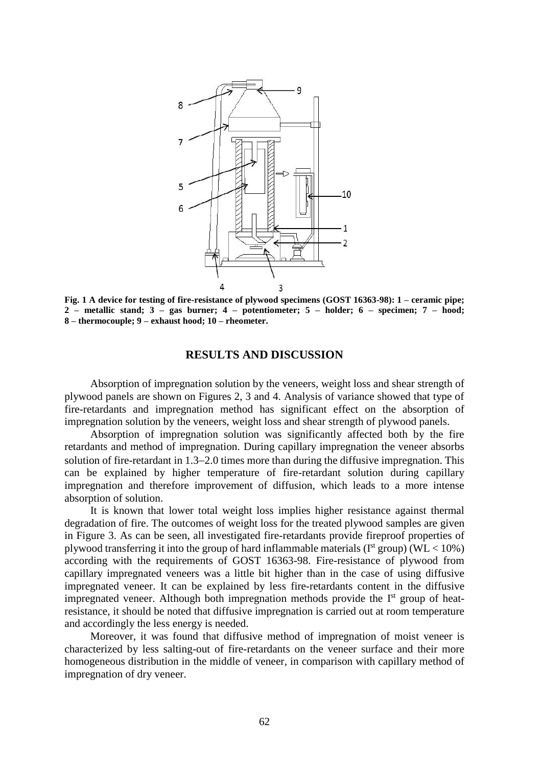

**Fig. 1 A device for testing of fire-resistance of plywood specimens (GOST 16363-98): 1 – ceramic pipe; 2 – metallic stand; 3 – gas burner; 4 – potentiometer; 5 – holder; 6 – specimen; 7 – hood; 8 – thermocouple; 9 – exhaust hood; 10 – rheometer.**

#### **RESULTS AND DISCUSSION**

Absorption of impregnation solution by the veneers, weight loss and shear strength of plywood panels are shown on Figures 2, 3 and 4. Analysis of variance showed that type of fire-retardants and impregnation method has significant effect on the absorption of impregnation solution by the veneers, weight loss and shear strength of plywood panels.

Absorption of impregnation solution was significantly affected both by the fire retardants and method of impregnation. During capillary impregnation the veneer absorbs solution of fire-retardant in  $1.3-2.0$  times more than during the diffusive impregnation. This can be explained by higher temperature of fire-retardant solution during capillary impregnation and therefore improvement of diffusion, which leads to a more intense absorption of solution.

It is known that lower total weight loss implies higher resistance against thermal degradation of fire. The outcomes of weight loss for the treated plywood samples are given in Figure 3. As can be seen, all investigated fire-retardants provide fireproof properties of plywood transferring it into the group of hard inflammable materials ( $I<sup>st</sup>$  group) (WL < 10%) according with the requirements of GOST 16363-98. Fire-resistance of plywood from capillary impregnated veneers was a little bit higher than in the case of using diffusive impregnated veneer. It can be explained by less fire-retardants content in the diffusive impregnated veneer. Although both impregnation methods provide the  $I<sup>st</sup>$  group of heatresistance, it should be noted that diffusive impregnation is carried out at room temperature and accordingly the less energy is needed.

Moreover, it was found that diffusive method of impregnation of moist veneer is characterized by less salting-out of fire-retardants on the veneer surface and their more homogeneous distribution in the middle of veneer, in comparison with capillary method of impregnation of dry veneer.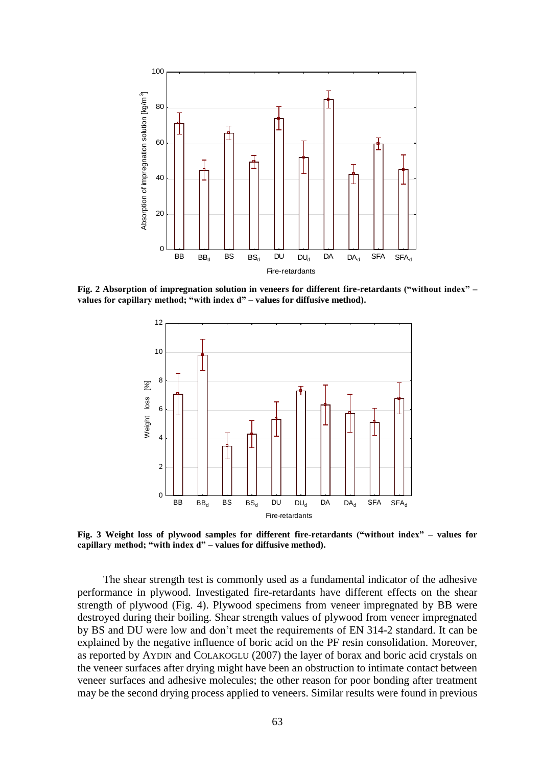

**Fig. 2 Absorption of impregnation solution in veneers for different fire-retardants ("without index" –**



**Fig. 3 Weight loss of plywood samples for different fire-retardants ("without index" – values for capillary method; "with index d" – values for diffusive method).**

The shear strength test is commonly used as a fundamental indicator of the adhesive performance in plywood. Investigated fire-retardants have different effects on the shear strength of plywood (Fig. 4). Plywood specimens from veneer impregnated by BB were destroyed during their boiling. Shear strength values of plywood from veneer impregnated by BS and DU were low and don't meet the requirements of EN 314-2 standard. It can be explained by the negative influence of boric acid on the PF resin consolidation. Moreover, as reported by AYDIN and COLAKOGLU (2007) the layer of borax and boric acid crystals on the veneer surfaces after drying might have been an obstruction to intimate contact between veneer surfaces and adhesive molecules; the other reason for poor bonding after treatment may be the second drying process applied to veneers. Similar results were found in previous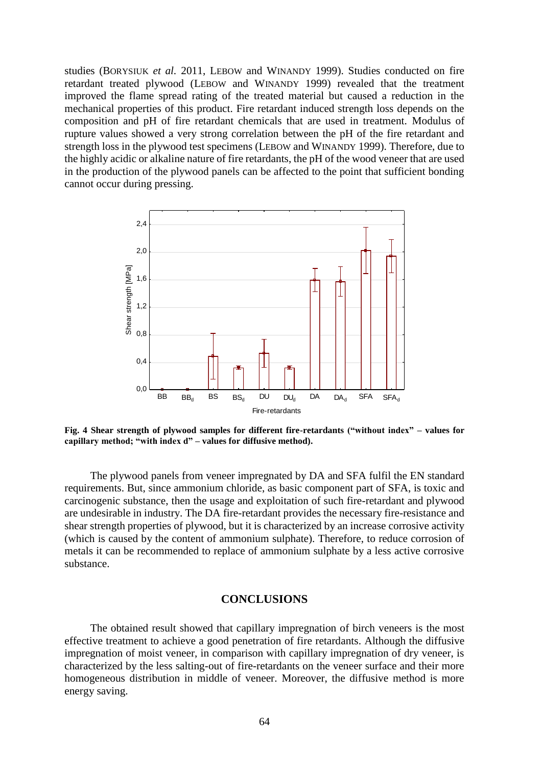studies (BORYSIUK *et al.* 2011, LEBOW and WINANDY 1999). Studies conducted on fire retardant treated plywood (LEBOW and WINANDY 1999) revealed that the treatment improved the flame spread rating of the treated material but caused a reduction in the mechanical properties of this product. Fire retardant induced strength loss depends on the composition and pH of fire retardant chemicals that are used in treatment. Modulus of rupture values showed a very strong correlation between the pH of the fire retardant and strength loss in the plywood test specimens (LEBOW and WINANDY 1999). Therefore, due to the highly acidic or alkaline nature of fire retardants, the pH of the wood veneer that are used in the production of the plywood panels can be affected to the point that sufficient bonding cannot occur during pressing.



**Fig. 4 Shear strength of plywood samples for different fire-retardants ("without index" – values for capillary method; "with index d" – values for diffusive method).**

The plywood panels from veneer impregnated by DA and SFA fulfil the EN standard requirements. But, since ammonium chloride, as basic component part of SFA, is toxic and carcinogenic substance, then the usage and exploitation of such fire-retardant and plywood are undesirable in industry. The DA fire-retardant provides the necessary fire-resistance and shear strength properties of plywood, but it is characterized by an increase corrosive activity (which is caused by the content of ammonium sulphate). Therefore, to reduce corrosion of metals it can be recommended to replace of ammonium sulphate by a less active corrosive substance.

# **CONCLUSIONS**

The obtained result showed that capillary impregnation of birch veneers is the most effective treatment to achieve a good penetration of fire retardants. Although the diffusive impregnation of moist veneer, in comparison with capillary impregnation of dry veneer, is characterized by the less salting-out of fire-retardants on the veneer surface and their more homogeneous distribution in middle of veneer. Moreover, the diffusive method is more energy saving.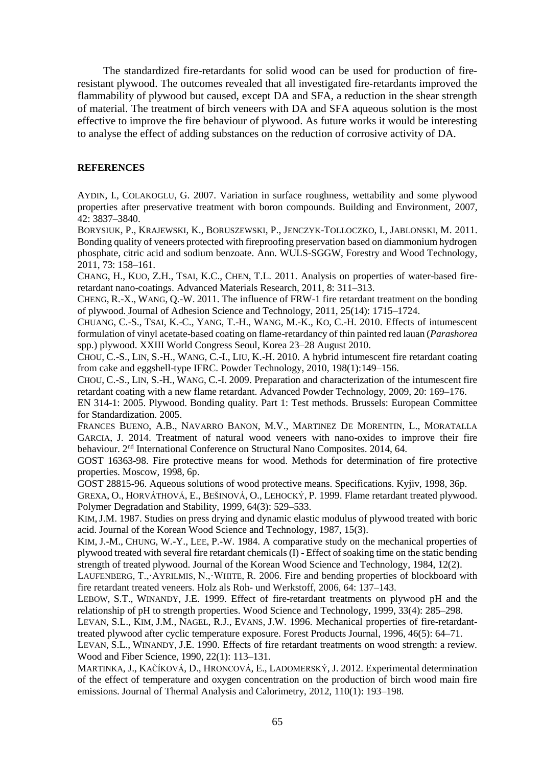The standardized fire-retardants for solid wood can be used for production of fireresistant plywood. The outcomes revealed that all investigated fire-retardants improved the flammability of plywood but caused, except DA and SFA, a reduction in the shear strength of material. The treatment of birch veneers with DA and SFA aqueous solution is the most effective to improve the fire behaviour of plywood. As future works it would be interesting to analyse the effect of adding substances on the reduction of corrosive activity of DA.

## **REFERENCES**

AYDIN, I., COLAKOGLU, G. 2007. Variation in surface roughness, wettability and some plywood properties after preservative treatment with boron compounds. Building and Environment, 2007, 42: 3837–3840.

BORYSIUK, P., KRAJEWSKI, K., BORUSZEWSKI, P., JENCZYK-TOLLOCZKO, I., JABLONSKI, M. 2011. Bonding quality of veneers protected with fireproofing preservation based on diammonium hydrogen phosphate, citric acid and sodium benzoate. Ann. WULS-SGGW, Forestry and Wood Technology, 2011, 73: 158–161.

C[HANG](https://www.researchgate.net/researcher/57837376_Ho_Chang), H., K[UO](https://www.researchgate.net/researcher/2060072459_Zi_How_Kuo), Z.H., T[SAI](https://www.researchgate.net/researcher/2060039151_Kuang_Chung_Tsai), K.C., C[HEN](https://www.researchgate.net/researcher/2025746895_Tien_Li_Chen), T.L. 2011. Analysis on properties of water-based fireretardant nano-coatings. Advanced Materials Research, 2011, 8: 311–313.

C[HENG](https://www.researchgate.net/researcher/2026521072_Rui-Xiang_Cheng), R.-X., W[ANG](https://www.researchgate.net/researcher/2026614414_Qing-Wen_Wang), Q.-W. 2011. The influence of FRW-1 fire retardant treatment on the bonding of plywood. Journal of Adhesion Science and Technology, 2011, 25(14): 1715–1724.

CHUANG, C.-S., TSAI, K.-C., YANG, T.-H., WANG, M.-K., KO, C.-H. 2010. Effects of intumescent formulation of vinyl acetate-based coating on flame-retardancy of thin painted red lauan (*Parashorea*  spp.) plywood. XXIII World Congress Seoul, Korea 23–28 August 2010.

C[HOU](https://www.researchgate.net/researcher/81475362_Chuen-Shii_Chou), C.-S., L[IN](https://www.researchgate.net/researcher/81337521_Sheau-Horng_Lin), S.-H., W[ANG](https://www.researchgate.net/researcher/2003515116_Chin-I_Wang), C.-I., L[IU](https://www.researchgate.net/researcher/2016955631_Kuan-Hung_Liu), K.-H. 2010. A hybrid intumescent fire retardant coating from cake and eggshell-type IFRC. Powder Technology, 2010, 198(1):149–156.

CHOU, C.-S., LIN, S.-H., WANG, C.-I. 2009. Preparation and characterization of the intumescent fire retardant coating with a new flame retardant. Advanced Powder Technology, 2009, 20: 169–176.

EN 314-1: 2005. Plywood. Bonding quality. Part 1: Test methods. Brussels: European Committee for Standardization. 2005.

FRANCES BUENO, A.B., NAVARRO BANON, M.V., MARTINEZ DE MORENTIN, L., MORATALLA GARCIA, J. 2014. Treatment of natural wood veneers with nano-oxides to improve their fire behaviour. 2<sup>nd</sup> International Conference on Structural Nano Composites. 2014, 64.

GOST 16363-98. Fire protective means for wood. Methods for determination of fire protective properties. Moscow, 1998, 6p.

GOST 28815-96. Aqueous solutions of wood protective means. Specifications. Kyjiv, 1998, 36p.

GREXA, O., HORVÁTHOVÁ, E., BEŠINOVÁ, O., LEHOCKÝ, P. 1999. Flame retardant treated plywood. [Polymer Degradation and Stability,](http://www.sciencedirect.com/science/journal/01413910) 1999, [64\(3\)](http://www.sciencedirect.com/science/journal/01413910/64/3): 529–533.

K[IM](https://www.researchgate.net/researcher/2051735054_Jong-Man_Kim),J.M. 1987. Studies on press drying and dynamic elastic modulus of plywood treated with boric acid. Journal of the Korean Wood Science and Technology, 1987, 15(3).

K[IM](https://www.researchgate.net/researcher/2051223540_Jong-Man_Kim), J.-M., C[HUNG](https://www.researchgate.net/researcher/2051339103_Woo-Yang_Chung), W.-Y., L[EE](https://www.researchgate.net/researcher/2051323287_Phil-Woo_Lee), P.-W. 1984. A comparative study on the mechanical properties of plywood treated with several fire retardant chemicals (I) - Effect of soaking time on the static bending strength of treated plywood. Journal of the Korean Wood Science and Technology, 1984, 12(2).

LAUFENBERG, T.,·AYRILMIS, N.,·WHITE, R. 2006. Fire and bending properties of blockboard with fire retardant treated veneers. Holz als Roh- und Werkstoff, 2006, 64: 137–143.

LEBOW, S.T., WINANDY, J.E. 1999. Effect of fire-retardant treatments on plywood pH and the relationship of pH to strength properties. Wood Science and Technology, 1999, 33(4): 285–298.

LEVAN, S.L., KIM, J.M., NAGEL, R.J., EVANS, J.W. 1996. Mechanical properties of fire-retardanttreated plywood after cyclic temperature exposure. Forest Products Journal, 1996, 46(5): 64–71.

LEVAN, S.L., WINANDY, J.E. 1990. Effects of fire retardant treatments on wood strength: a review. Wood and Fiber Science, 1990, 22(1): 113–131.

MARTINKA, J., KAČÍKOVÁ, D., HRONCOVÁ, E., LADOMERSKÝ, J. 2012. Experimental determination of the effect of temperature and oxygen concentration on the production of birch wood main fire emissions. Journal of Thermal Analysis and Calorimetry, 2012, 110(1): 193–198.